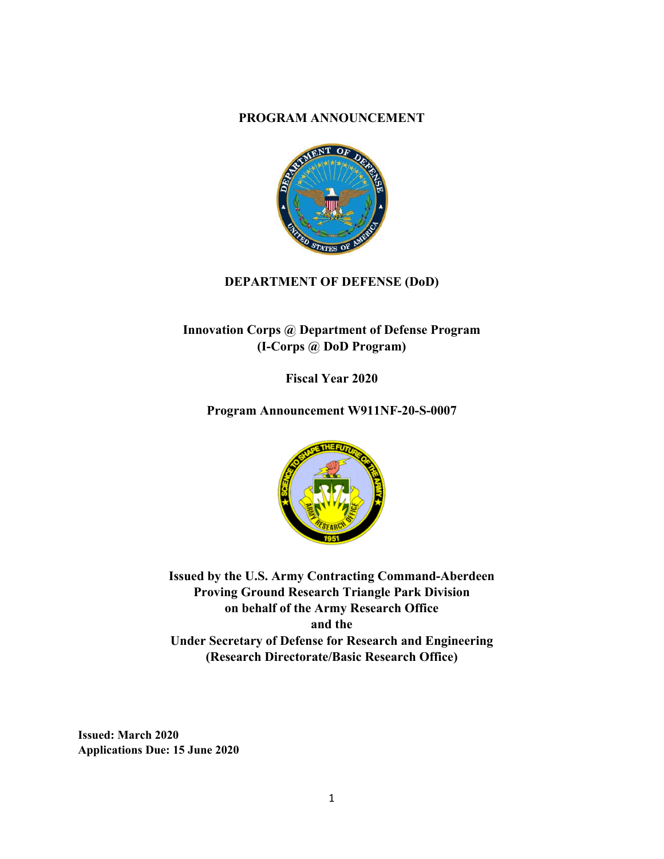#### **PROGRAM ANNOUNCEMENT**



# **DEPARTMENT OF DEFENSE (DoD)**

# **Innovation Corps @ Department of Defense Program (I-Corps @ DoD Program)**

**Fiscal Year 2020** 

**Program Announcement W911NF-20-S-0007** 



**Issued by the U.S. Army Contracting Command-Aberdeen Proving Ground Research Triangle Park Division on behalf of the Army Research Office and the Under Secretary of Defense for Research and Engineering (Research Directorate/Basic Research Office)** 

**Issued: March 2020 Applications Due: 15 June 2020**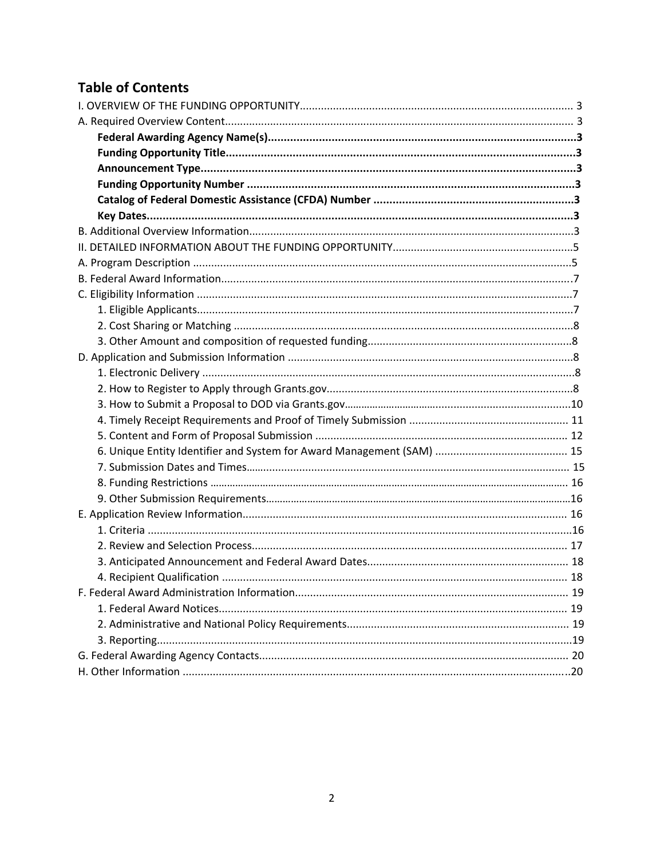# **Table of Contents**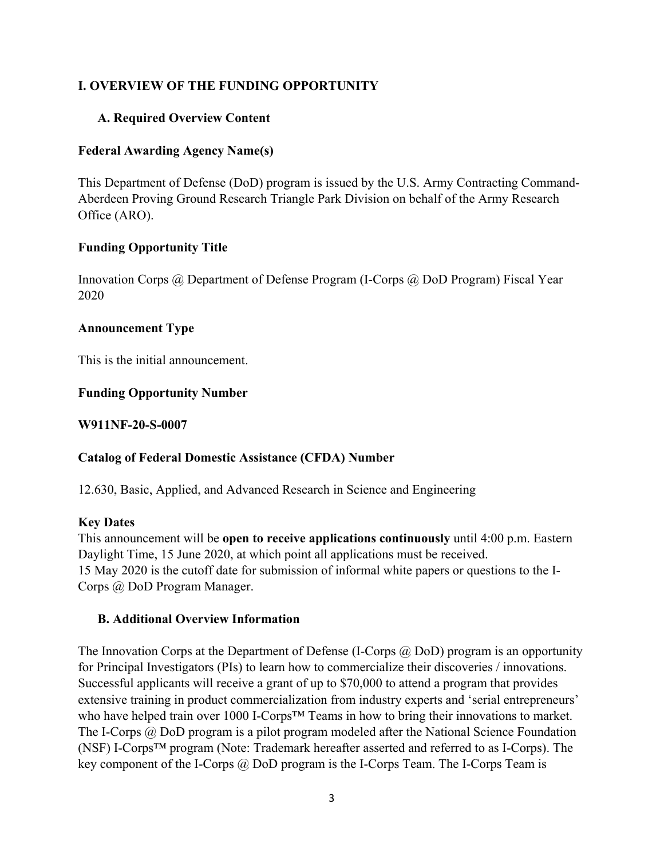#### **I. OVERVIEW OF THE FUNDING OPPORTUNITY**

#### **A. Required Overview Content**

#### **Federal Awarding Agency Name(s)**

This Department of Defense (DoD) program is issued by the U.S. Army Contracting Command-Aberdeen Proving Ground Research Triangle Park Division on behalf of the Army Research Office (ARO).

#### **Funding Opportunity Title**

Innovation Corps @ Department of Defense Program (I-Corps @ DoD Program) Fiscal Year 2020

#### **Announcement Type**

This is the initial announcement.

#### **Funding Opportunity Number**

**W911NF-20-S-0007**

#### **Catalog of Federal Domestic Assistance (CFDA) Number**

12.630, Basic, Applied, and Advanced Research in Science and Engineering

#### **Key Dates**

This announcement will be **open to receive applications continuously** until 4:00 p.m. Eastern Daylight Time, 15 June 2020, at which point all applications must be received. 15 May 2020 is the cutoff date for submission of informal white papers or questions to the I-Corps @ DoD Program Manager.

#### **B. Additional Overview Information**

The Innovation Corps at the Department of Defense (I-Corps  $(a)$  DoD) program is an opportunity for Principal Investigators (PIs) to learn how to commercialize their discoveries / innovations. Successful applicants will receive a grant of up to \$70,000 to attend a program that provides extensive training in product commercialization from industry experts and 'serial entrepreneurs' who have helped train over 1000 I-Corps™ Teams in how to bring their innovations to market. The I-Corps @ DoD program is a pilot program modeled after the National Science Foundation (NSF) I-Corps™ program (Note: Trademark hereafter asserted and referred to as I-Corps). The key component of the I-Corps @ DoD program is the I-Corps Team. The I-Corps Team is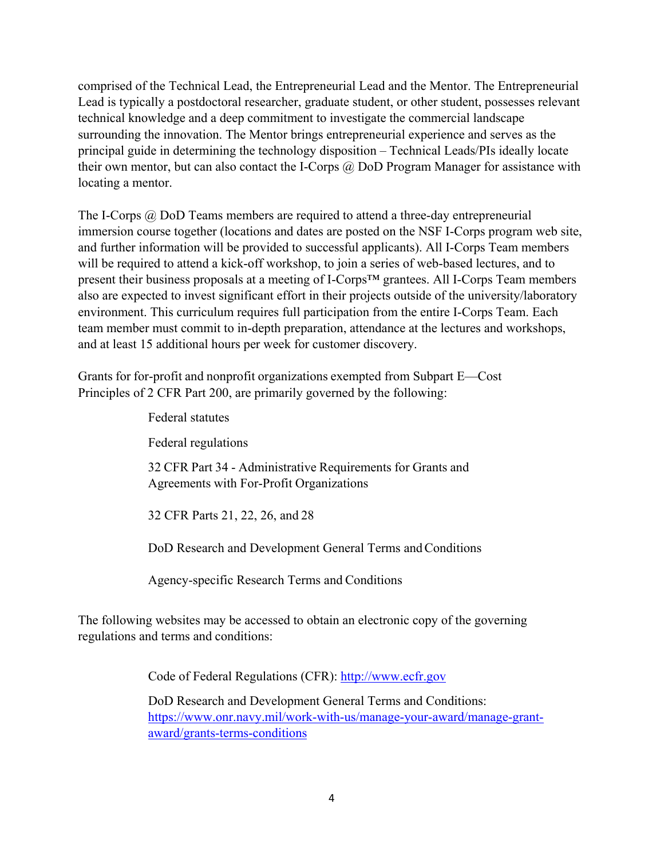comprised of the Technical Lead, the Entrepreneurial Lead and the Mentor. The Entrepreneurial Lead is typically a postdoctoral researcher, graduate student, or other student, possesses relevant technical knowledge and a deep commitment to investigate the commercial landscape surrounding the innovation. The Mentor brings entrepreneurial experience and serves as the principal guide in determining the technology disposition – Technical Leads/PIs ideally locate their own mentor, but can also contact the I-Corps  $\hat{\omega}$  DoD Program Manager for assistance with locating a mentor.

The I-Corps @ DoD Teams members are required to attend a three-day entrepreneurial immersion course together (locations and dates are posted on the NSF I-Corps program web site, and further information will be provided to successful applicants). All I-Corps Team members will be required to attend a kick-off workshop, to join a series of web-based lectures, and to present their business proposals at a meeting of I-Corps™ grantees. All I-Corps Team members also are expected to invest significant effort in their projects outside of the university/laboratory environment. This curriculum requires full participation from the entire I-Corps Team. Each team member must commit to in-depth preparation, attendance at the lectures and workshops, and at least 15 additional hours per week for customer discovery.

Grants for for-profit and nonprofit organizations exempted from Subpart E—Cost Principles of 2 CFR Part 200, are primarily governed by the following:

> Federal statutes Federal regulations 32 CFR Part 34 - Administrative Requirements for Grants and Agreements with For-Profit Organizations

32 CFR Parts 21, 22, 26, and 28

DoD Research and Development General Terms and Conditions

Agency-specific Research Terms and Conditions

The following websites may be accessed to obtain an electronic copy of the governing regulations and terms and conditions:

Code of Federal Regulations (CFR): http://www.ecfr.gov

 DoD Research and Development General Terms and Conditions: https://www.onr.navy.mil/work-with-us/manage-your-award/manage-grantaward/grants-terms-conditions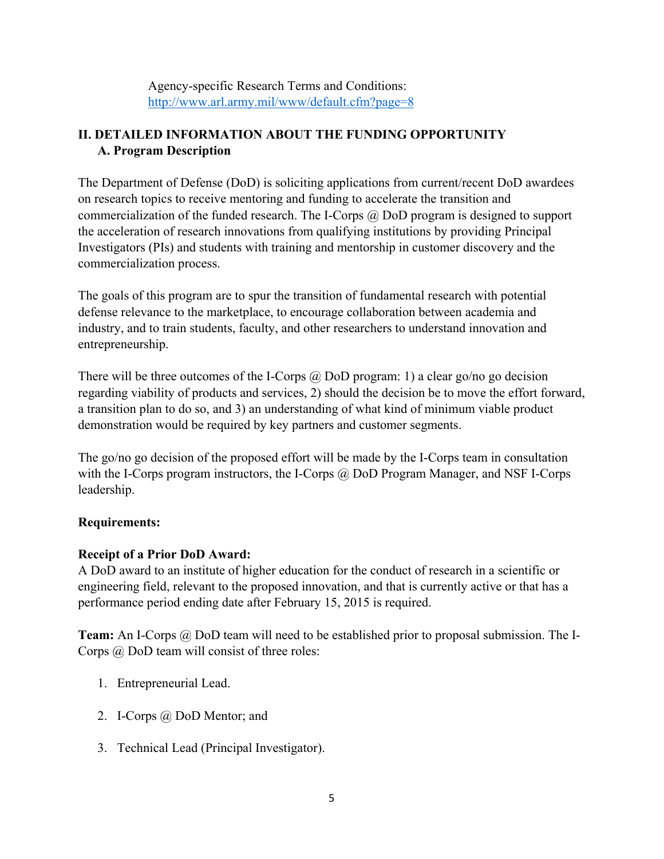Agency-specific Research Terms and Conditions: http://www.arl.army.mil/www/default.cfm?page=8

# **II. DETAILED INFORMATION ABOUT THE FUNDING OPPORTUNITY A. Program Description**

The Department of Defense (DoD) is soliciting applications from current/recent DoD awardees on research topics to receive mentoring and funding to accelerate the transition and commercialization of the funded research. The I-Corps  $\omega$  DoD program is designed to support the acceleration of research innovations from qualifying institutions by providing Principal Investigators (PIs) and students with training and mentorship in customer discovery and the commercialization process.

The goals of this program are to spur the transition of fundamental research with potential defense relevance to the marketplace, to encourage collaboration between academia and industry, and to train students, faculty, and other researchers to understand innovation and entrepreneurship.

There will be three outcomes of the I-Corps  $\omega$  DoD program: 1) a clear go/no go decision regarding viability of products and services, 2) should the decision be to move the effort forward, a transition plan to do so, and 3) an understanding of what kind of minimum viable product demonstration would be required by key partners and customer segments.

The go/no go decision of the proposed effort will be made by the I-Corps team in consultation with the I-Corps program instructors, the I-Corps @ DoD Program Manager, and NSF I-Corps leadership.

# **Requirements:**

# **Receipt of a Prior DoD Award:**

A DoD award to an institute of higher education for the conduct of research in a scientific or engineering field, relevant to the proposed innovation, and that is currently active or that has a performance period ending date after February 15, 2015 is required.

**Team:** An I-Corps @ DoD team will need to be established prior to proposal submission. The I-Corps @ DoD team will consist of three roles:

- 1. Entrepreneurial Lead.
- 2. I-Corps @ DoD Mentor; and
- 3. Technical Lead (Principal Investigator).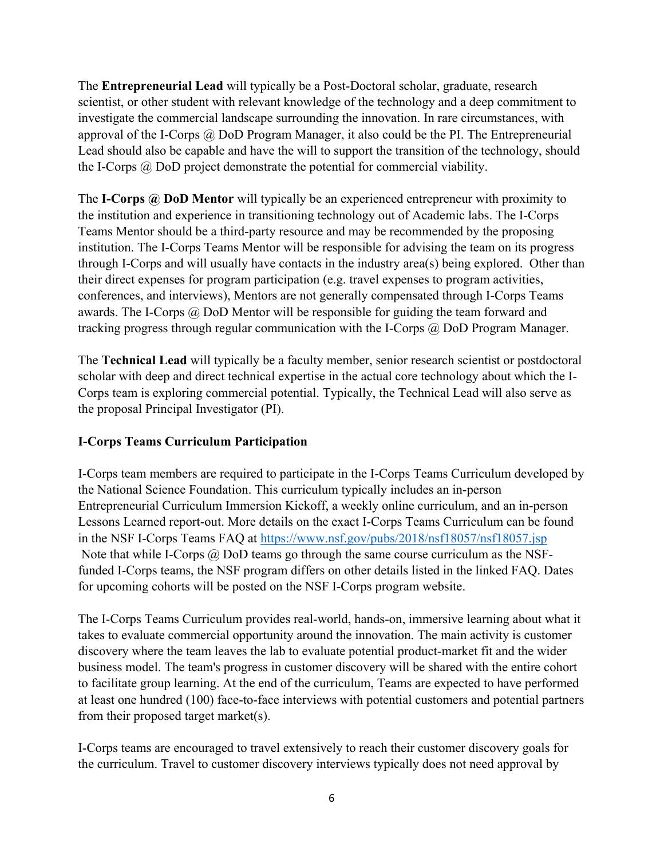The **Entrepreneurial Lead** will typically be a Post-Doctoral scholar, graduate, research scientist, or other student with relevant knowledge of the technology and a deep commitment to investigate the commercial landscape surrounding the innovation. In rare circumstances, with approval of the I-Corps  $(a)$  DoD Program Manager, it also could be the PI. The Entrepreneurial Lead should also be capable and have the will to support the transition of the technology, should the I-Corps @ DoD project demonstrate the potential for commercial viability.

The **I-Corps @ DoD Mentor** will typically be an experienced entrepreneur with proximity to the institution and experience in transitioning technology out of Academic labs. The I-Corps Teams Mentor should be a third-party resource and may be recommended by the proposing institution. The I-Corps Teams Mentor will be responsible for advising the team on its progress through I-Corps and will usually have contacts in the industry area(s) being explored. Other than their direct expenses for program participation (e.g. travel expenses to program activities, conferences, and interviews), Mentors are not generally compensated through I-Corps Teams awards. The I-Corps @ DoD Mentor will be responsible for guiding the team forward and tracking progress through regular communication with the I-Corps @ DoD Program Manager.

The **Technical Lead** will typically be a faculty member, senior research scientist or postdoctoral scholar with deep and direct technical expertise in the actual core technology about which the I-Corps team is exploring commercial potential. Typically, the Technical Lead will also serve as the proposal Principal Investigator (PI).

# **I-Corps Teams Curriculum Participation**

I-Corps team members are required to participate in the I-Corps Teams Curriculum developed by the National Science Foundation. This curriculum typically includes an in-person Entrepreneurial Curriculum Immersion Kickoff, a weekly online curriculum, and an in-person Lessons Learned report-out. More details on the exact I-Corps Teams Curriculum can be found in the NSF I-Corps Teams FAQ at https://www.nsf.gov/pubs/2018/nsf18057/nsf18057.jsp Note that while I-Corps @ DoD teams go through the same course curriculum as the NSFfunded I-Corps teams, the NSF program differs on other details listed in the linked FAQ. Dates for upcoming cohorts will be posted on the NSF I-Corps program website.

The I-Corps Teams Curriculum provides real-world, hands-on, immersive learning about what it takes to evaluate commercial opportunity around the innovation. The main activity is customer discovery where the team leaves the lab to evaluate potential product-market fit and the wider business model. The team's progress in customer discovery will be shared with the entire cohort to facilitate group learning. At the end of the curriculum, Teams are expected to have performed at least one hundred (100) face-to-face interviews with potential customers and potential partners from their proposed target market(s).

I-Corps teams are encouraged to travel extensively to reach their customer discovery goals for the curriculum. Travel to customer discovery interviews typically does not need approval by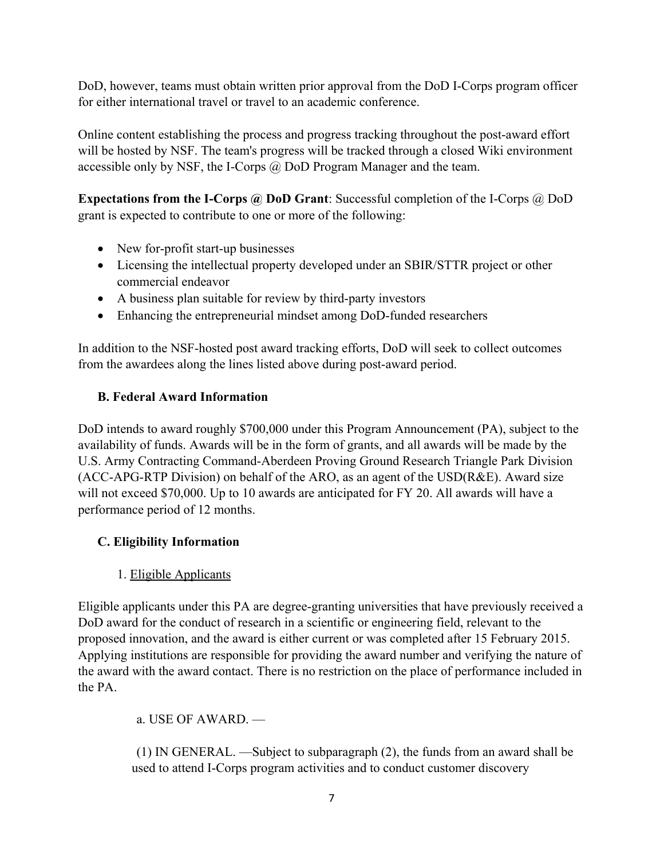DoD, however, teams must obtain written prior approval from the DoD I-Corps program officer for either international travel or travel to an academic conference.

Online content establishing the process and progress tracking throughout the post-award effort will be hosted by NSF. The team's progress will be tracked through a closed Wiki environment accessible only by NSF, the I-Corps @ DoD Program Manager and the team.

**Expectations from the I-Corps @ DoD Grant**: Successful completion of the I-Corps @ DoD grant is expected to contribute to one or more of the following:

- New for-profit start-up businesses
- Licensing the intellectual property developed under an SBIR/STTR project or other commercial endeavor
- A business plan suitable for review by third-party investors
- Enhancing the entrepreneurial mindset among DoD-funded researchers

In addition to the NSF-hosted post award tracking efforts, DoD will seek to collect outcomes from the awardees along the lines listed above during post-award period.

# **B. Federal Award Information**

DoD intends to award roughly \$700,000 under this Program Announcement (PA), subject to the availability of funds. Awards will be in the form of grants, and all awards will be made by the U.S. Army Contracting Command-Aberdeen Proving Ground Research Triangle Park Division (ACC-APG-RTP Division) on behalf of the ARO, as an agent of the USD(R&E). Award size will not exceed \$70,000. Up to 10 awards are anticipated for FY 20. All awards will have a performance period of 12 months.

# **C. Eligibility Information**

# 1. Eligible Applicants

Eligible applicants under this PA are degree-granting universities that have previously received a DoD award for the conduct of research in a scientific or engineering field, relevant to the proposed innovation, and the award is either current or was completed after 15 February 2015. Applying institutions are responsible for providing the award number and verifying the nature of the award with the award contact. There is no restriction on the place of performance included in the PA.

a. USE OF AWARD. —

 (1) IN GENERAL. —Subject to subparagraph (2), the funds from an award shall be used to attend I-Corps program activities and to conduct customer discovery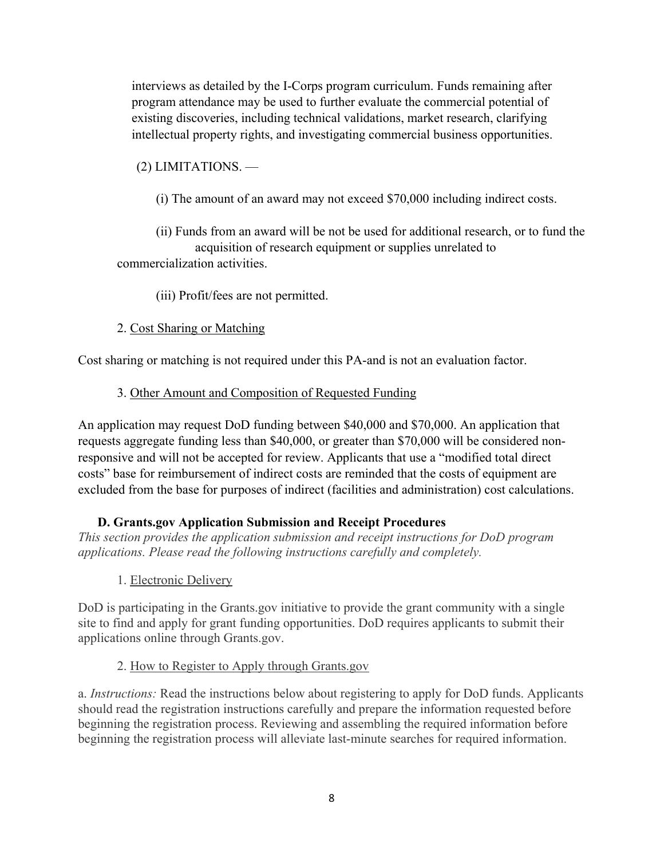interviews as detailed by the I-Corps program curriculum. Funds remaining after program attendance may be used to further evaluate the commercial potential of existing discoveries, including technical validations, market research, clarifying intellectual property rights, and investigating commercial business opportunities.

(2) LIMITATIONS. —

(i) The amount of an award may not exceed \$70,000 including indirect costs.

 (ii) Funds from an award will be not be used for additional research, or to fund the acquisition of research equipment or supplies unrelated to commercialization activities.

(iii) Profit/fees are not permitted.

#### 2. Cost Sharing or Matching

Cost sharing or matching is not required under this PA-and is not an evaluation factor.

#### 3. Other Amount and Composition of Requested Funding

An application may request DoD funding between \$40,000 and \$70,000. An application that requests aggregate funding less than \$40,000, or greater than \$70,000 will be considered nonresponsive and will not be accepted for review. Applicants that use a "modified total direct costs" base for reimbursement of indirect costs are reminded that the costs of equipment are excluded from the base for purposes of indirect (facilities and administration) cost calculations.

#### **D. Grants.gov Application Submission and Receipt Procedures**

*This section provides the application submission and receipt instructions for DoD program applications. Please read the following instructions carefully and completely.*

1. Electronic Delivery

DoD is participating in the Grants.gov initiative to provide the grant community with a single site to find and apply for grant funding opportunities. DoD requires applicants to submit their applications online through Grants.gov.

#### 2. How to Register to Apply through Grants.gov

a. *Instructions:* Read the instructions below about registering to apply for DoD funds. Applicants should read the registration instructions carefully and prepare the information requested before beginning the registration process. Reviewing and assembling the required information before beginning the registration process will alleviate last-minute searches for required information.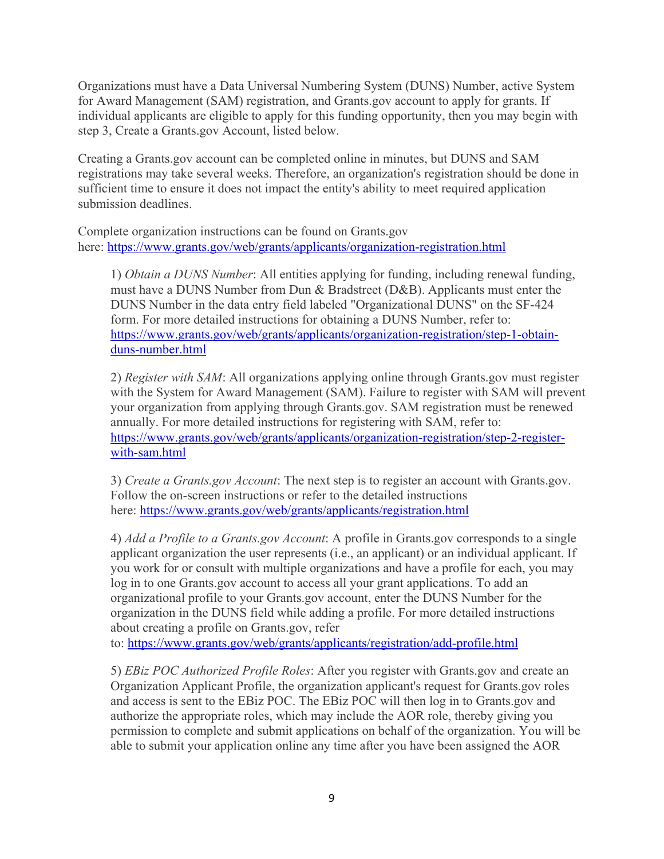Organizations must have a Data Universal Numbering System (DUNS) Number, active System for Award Management (SAM) registration, and Grants.gov account to apply for grants. If individual applicants are eligible to apply for this funding opportunity, then you may begin with step 3, Create a Grants.gov Account, listed below.

Creating a Grants.gov account can be completed online in minutes, but DUNS and SAM registrations may take several weeks. Therefore, an organization's registration should be done in sufficient time to ensure it does not impact the entity's ability to meet required application submission deadlines.

Complete organization instructions can be found on Grants.gov here: https://www.grants.gov/web/grants/applicants/organization-registration.html

1) *Obtain a DUNS Number*: All entities applying for funding, including renewal funding, must have a DUNS Number from Dun & Bradstreet (D&B). Applicants must enter the DUNS Number in the data entry field labeled "Organizational DUNS" on the SF-424 form. For more detailed instructions for obtaining a DUNS Number, refer to: https://www.grants.gov/web/grants/applicants/organization-registration/step-1-obtainduns-number.html

2) *Register with SAM*: All organizations applying online through Grants.gov must register with the System for Award Management (SAM). Failure to register with SAM will prevent your organization from applying through Grants.gov. SAM registration must be renewed annually. For more detailed instructions for registering with SAM, refer to: https://www.grants.gov/web/grants/applicants/organization-registration/step-2-registerwith-sam.html

3) *Create a Grants.gov Account*: The next step is to register an account with Grants.gov. Follow the on-screen instructions or refer to the detailed instructions here: https://www.grants.gov/web/grants/applicants/registration.html

4) *Add a Profile to a Grants.gov Account*: A profile in Grants.gov corresponds to a single applicant organization the user represents (i.e., an applicant) or an individual applicant. If you work for or consult with multiple organizations and have a profile for each, you may log in to one Grants.gov account to access all your grant applications. To add an organizational profile to your Grants.gov account, enter the DUNS Number for the organization in the DUNS field while adding a profile. For more detailed instructions about creating a profile on Grants.gov, refer

to: https://www.grants.gov/web/grants/applicants/registration/add-profile.html

5) *EBiz POC Authorized Profile Roles*: After you register with Grants.gov and create an Organization Applicant Profile, the organization applicant's request for Grants.gov roles and access is sent to the EBiz POC. The EBiz POC will then log in to Grants.gov and authorize the appropriate roles, which may include the AOR role, thereby giving you permission to complete and submit applications on behalf of the organization. You will be able to submit your application online any time after you have been assigned the AOR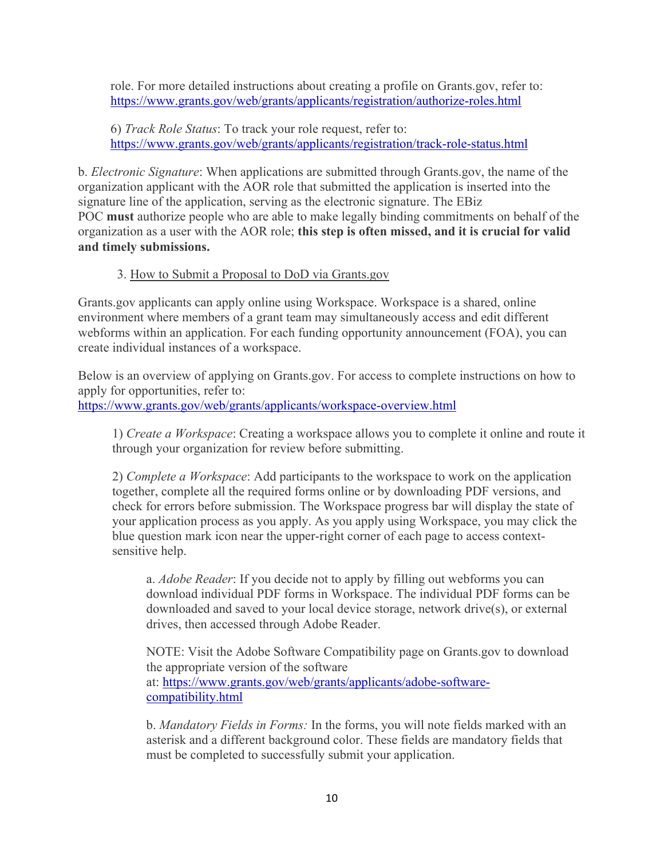role. For more detailed instructions about creating a profile on Grants.gov, refer to: https://www.grants.gov/web/grants/applicants/registration/authorize-roles.html

6) *Track Role Status*: To track your role request, refer to: https://www.grants.gov/web/grants/applicants/registration/track-role-status.html

b. *Electronic Signature*: When applications are submitted through Grants.gov, the name of the organization applicant with the AOR role that submitted the application is inserted into the signature line of the application, serving as the electronic signature. The EBiz POC **must** authorize people who are able to make legally binding commitments on behalf of the organization as a user with the AOR role; **this step is often missed, and it is crucial for valid and timely submissions.**

#### 3. How to Submit a Proposal to DoD via Grants.gov

Grants.gov applicants can apply online using Workspace. Workspace is a shared, online environment where members of a grant team may simultaneously access and edit different webforms within an application. For each funding opportunity announcement (FOA), you can create individual instances of a workspace.

Below is an overview of applying on Grants.gov. For access to complete instructions on how to apply for opportunities, refer to:

https://www.grants.gov/web/grants/applicants/workspace-overview.html

1) *Create a Workspace*: Creating a workspace allows you to complete it online and route it through your organization for review before submitting.

2) *Complete a Workspace*: Add participants to the workspace to work on the application together, complete all the required forms online or by downloading PDF versions, and check for errors before submission. The Workspace progress bar will display the state of your application process as you apply. As you apply using Workspace, you may click the blue question mark icon near the upper-right corner of each page to access contextsensitive help.

a. *Adobe Reader*: If you decide not to apply by filling out webforms you can download individual PDF forms in Workspace. The individual PDF forms can be downloaded and saved to your local device storage, network drive(s), or external drives, then accessed through Adobe Reader.

NOTE: Visit the Adobe Software Compatibility page on Grants.gov to download the appropriate version of the software at: https://www.grants.gov/web/grants/applicants/adobe-softwarecompatibility.html

b. *Mandatory Fields in Forms:* In the forms, you will note fields marked with an asterisk and a different background color. These fields are mandatory fields that must be completed to successfully submit your application.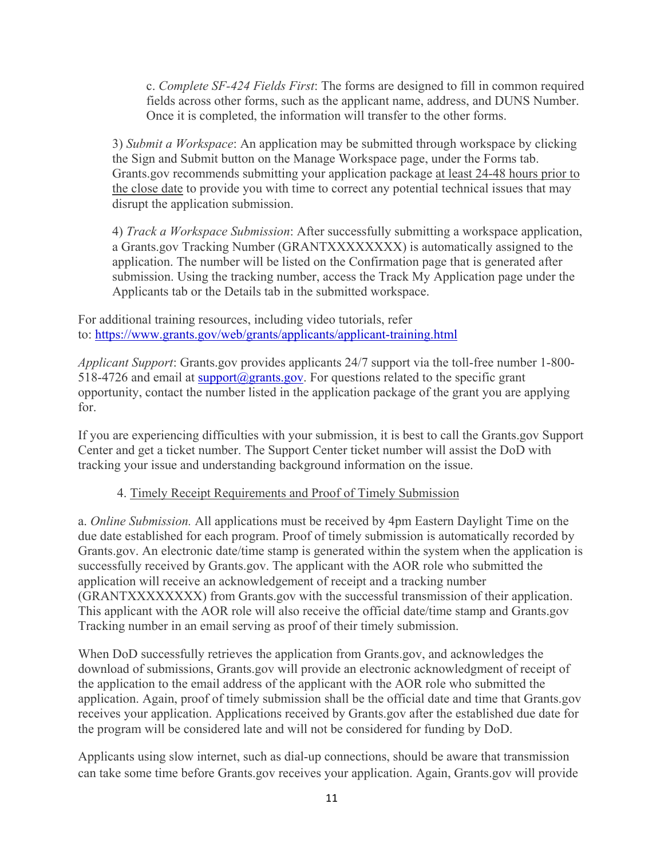c. *Complete SF-424 Fields First*: The forms are designed to fill in common required fields across other forms, such as the applicant name, address, and DUNS Number. Once it is completed, the information will transfer to the other forms.

3) *Submit a Workspace*: An application may be submitted through workspace by clicking the Sign and Submit button on the Manage Workspace page, under the Forms tab. Grants.gov recommends submitting your application package at least 24-48 hours prior to the close date to provide you with time to correct any potential technical issues that may disrupt the application submission.

4) *Track a Workspace Submission*: After successfully submitting a workspace application, a Grants.gov Tracking Number (GRANTXXXXXXXX) is automatically assigned to the application. The number will be listed on the Confirmation page that is generated after submission. Using the tracking number, access the Track My Application page under the Applicants tab or the Details tab in the submitted workspace.

For additional training resources, including video tutorials, refer to: https://www.grants.gov/web/grants/applicants/applicant-training.html

*Applicant Support*: Grants.gov provides applicants 24/7 support via the toll-free number 1-800- 518-4726 and email at support@grants.gov. For questions related to the specific grant opportunity, contact the number listed in the application package of the grant you are applying for.

If you are experiencing difficulties with your submission, it is best to call the Grants.gov Support Center and get a ticket number. The Support Center ticket number will assist the DoD with tracking your issue and understanding background information on the issue.

# 4. Timely Receipt Requirements and Proof of Timely Submission

a. *Online Submission.* All applications must be received by 4pm Eastern Daylight Time on the due date established for each program. Proof of timely submission is automatically recorded by Grants.gov. An electronic date/time stamp is generated within the system when the application is successfully received by Grants.gov. The applicant with the AOR role who submitted the application will receive an acknowledgement of receipt and a tracking number (GRANTXXXXXXXX) from Grants.gov with the successful transmission of their application. This applicant with the AOR role will also receive the official date/time stamp and Grants.gov Tracking number in an email serving as proof of their timely submission.

When DoD successfully retrieves the application from Grants.gov, and acknowledges the download of submissions, Grants.gov will provide an electronic acknowledgment of receipt of the application to the email address of the applicant with the AOR role who submitted the application. Again, proof of timely submission shall be the official date and time that Grants.gov receives your application. Applications received by Grants.gov after the established due date for the program will be considered late and will not be considered for funding by DoD.

Applicants using slow internet, such as dial-up connections, should be aware that transmission can take some time before Grants.gov receives your application. Again, Grants.gov will provide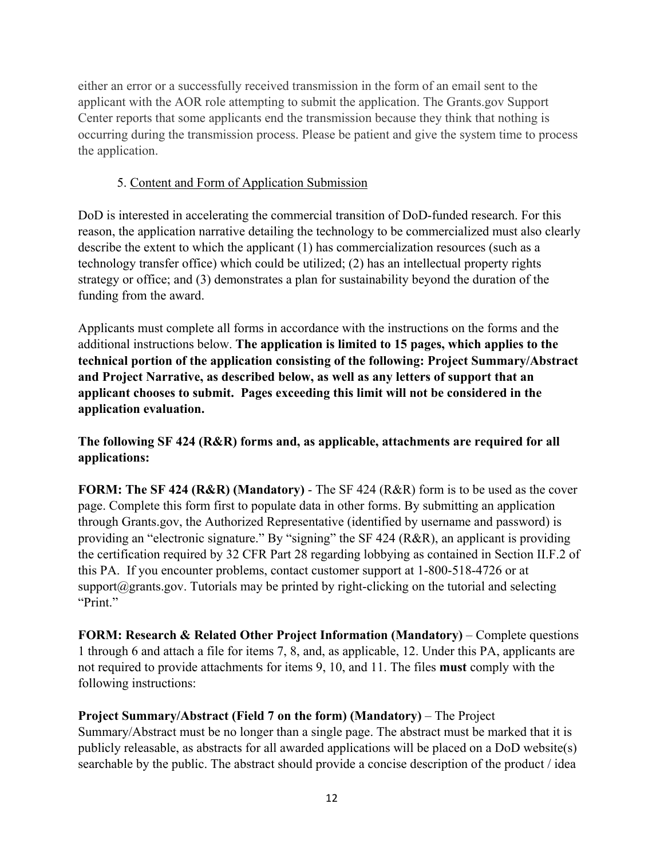either an error or a successfully received transmission in the form of an email sent to the applicant with the AOR role attempting to submit the application. The Grants.gov Support Center reports that some applicants end the transmission because they think that nothing is occurring during the transmission process. Please be patient and give the system time to process the application.

#### 5. Content and Form of Application Submission

DoD is interested in accelerating the commercial transition of DoD-funded research. For this reason, the application narrative detailing the technology to be commercialized must also clearly describe the extent to which the applicant (1) has commercialization resources (such as a technology transfer office) which could be utilized; (2) has an intellectual property rights strategy or office; and (3) demonstrates a plan for sustainability beyond the duration of the funding from the award.

Applicants must complete all forms in accordance with the instructions on the forms and the additional instructions below. **The application is limited to 15 pages, which applies to the technical portion of the application consisting of the following: Project Summary/Abstract and Project Narrative, as described below, as well as any letters of support that an applicant chooses to submit. Pages exceeding this limit will not be considered in the application evaluation.** 

# **The following SF 424 (R&R) forms and, as applicable, attachments are required for all applications:**

**FORM: The SF 424 (R&R) (Mandatory)** - The SF 424 (R&R) form is to be used as the cover page. Complete this form first to populate data in other forms. By submitting an application through Grants.gov, the Authorized Representative (identified by username and password) is providing an "electronic signature." By "signing" the SF 424 (R&R), an applicant is providing the certification required by 32 CFR Part 28 regarding lobbying as contained in Section II.F.2 of this PA. If you encounter problems, contact customer support at 1-800-518-4726 or at support $@$ grants.gov. Tutorials may be printed by right-clicking on the tutorial and selecting "Print."

**FORM: Research & Related Other Project Information (Mandatory)** – Complete questions 1 through 6 and attach a file for items 7, 8, and, as applicable, 12. Under this PA, applicants are not required to provide attachments for items 9, 10, and 11. The files **must** comply with the following instructions:

#### **Project Summary/Abstract (Field 7 on the form) (Mandatory)** – The Project Summary/Abstract must be no longer than a single page. The abstract must be marked that it is publicly releasable, as abstracts for all awarded applications will be placed on a DoD website(s) searchable by the public. The abstract should provide a concise description of the product / idea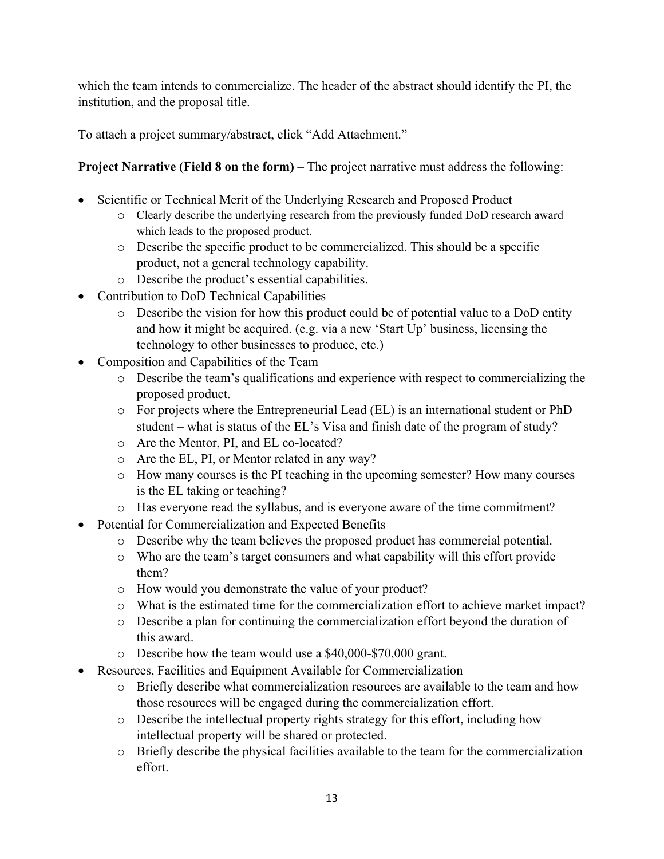which the team intends to commercialize. The header of the abstract should identify the PI, the institution, and the proposal title.

To attach a project summary/abstract, click "Add Attachment."

# **Project Narrative (Field 8 on the form)** – The project narrative must address the following:

- Scientific or Technical Merit of the Underlying Research and Proposed Product
	- o Clearly describe the underlying research from the previously funded DoD research award which leads to the proposed product.
	- o Describe the specific product to be commercialized. This should be a specific product, not a general technology capability.
	- o Describe the product's essential capabilities.
- Contribution to DoD Technical Capabilities
	- o Describe the vision for how this product could be of potential value to a DoD entity and how it might be acquired. (e.g. via a new 'Start Up' business, licensing the technology to other businesses to produce, etc.)
- Composition and Capabilities of the Team
	- o Describe the team's qualifications and experience with respect to commercializing the proposed product.
	- o For projects where the Entrepreneurial Lead (EL) is an international student or PhD student – what is status of the EL's Visa and finish date of the program of study?
	- o Are the Mentor, PI, and EL co-located?
	- o Are the EL, PI, or Mentor related in any way?
	- o How many courses is the PI teaching in the upcoming semester? How many courses is the EL taking or teaching?
	- o Has everyone read the syllabus, and is everyone aware of the time commitment?
- Potential for Commercialization and Expected Benefits
	- o Describe why the team believes the proposed product has commercial potential.
	- o Who are the team's target consumers and what capability will this effort provide them?
	- o How would you demonstrate the value of your product?
	- o What is the estimated time for the commercialization effort to achieve market impact?
	- o Describe a plan for continuing the commercialization effort beyond the duration of this award.
	- o Describe how the team would use a \$40,000-\$70,000 grant.
- Resources, Facilities and Equipment Available for Commercialization
	- $\circ$  Briefly describe what commercialization resources are available to the team and how those resources will be engaged during the commercialization effort.
	- o Describe the intellectual property rights strategy for this effort, including how intellectual property will be shared or protected.
	- o Briefly describe the physical facilities available to the team for the commercialization effort.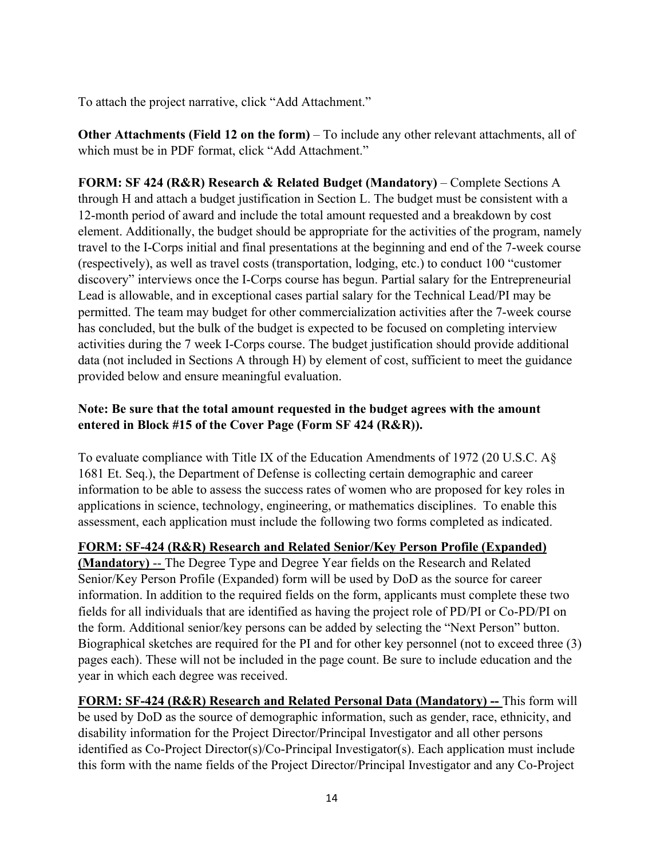To attach the project narrative, click "Add Attachment."

**Other Attachments (Field 12 on the form)** – To include any other relevant attachments, all of which must be in PDF format, click "Add Attachment."

**FORM: SF 424 (R&R) Research & Related Budget (Mandatory)** – Complete Sections A through H and attach a budget justification in Section L. The budget must be consistent with a 12-month period of award and include the total amount requested and a breakdown by cost element. Additionally, the budget should be appropriate for the activities of the program, namely travel to the I-Corps initial and final presentations at the beginning and end of the 7-week course (respectively), as well as travel costs (transportation, lodging, etc.) to conduct 100 "customer discovery" interviews once the I-Corps course has begun. Partial salary for the Entrepreneurial Lead is allowable, and in exceptional cases partial salary for the Technical Lead/PI may be permitted. The team may budget for other commercialization activities after the 7-week course has concluded, but the bulk of the budget is expected to be focused on completing interview activities during the 7 week I-Corps course. The budget justification should provide additional data (not included in Sections A through H) by element of cost, sufficient to meet the guidance provided below and ensure meaningful evaluation.

# **Note: Be sure that the total amount requested in the budget agrees with the amount entered in Block #15 of the Cover Page (Form SF 424 (R&R)).**

To evaluate compliance with Title IX of the Education Amendments of 1972 (20 U.S.C. A§ 1681 Et. Seq.), the Department of Defense is collecting certain demographic and career information to be able to assess the success rates of women who are proposed for key roles in applications in science, technology, engineering, or mathematics disciplines. To enable this assessment, each application must include the following two forms completed as indicated.

#### **FORM: SF-424 (R&R) Research and Related Senior/Key Person Profile (Expanded)**

**(Mandatory)** -- The Degree Type and Degree Year fields on the Research and Related Senior/Key Person Profile (Expanded) form will be used by DoD as the source for career information. In addition to the required fields on the form, applicants must complete these two fields for all individuals that are identified as having the project role of PD/PI or Co-PD/PI on the form. Additional senior/key persons can be added by selecting the "Next Person" button. Biographical sketches are required for the PI and for other key personnel (not to exceed three (3) pages each). These will not be included in the page count. Be sure to include education and the year in which each degree was received.

**FORM: SF-424 (R&R) Research and Related Personal Data (Mandatory) --** This form will be used by DoD as the source of demographic information, such as gender, race, ethnicity, and disability information for the Project Director/Principal Investigator and all other persons identified as Co-Project Director(s)/Co-Principal Investigator(s). Each application must include this form with the name fields of the Project Director/Principal Investigator and any Co-Project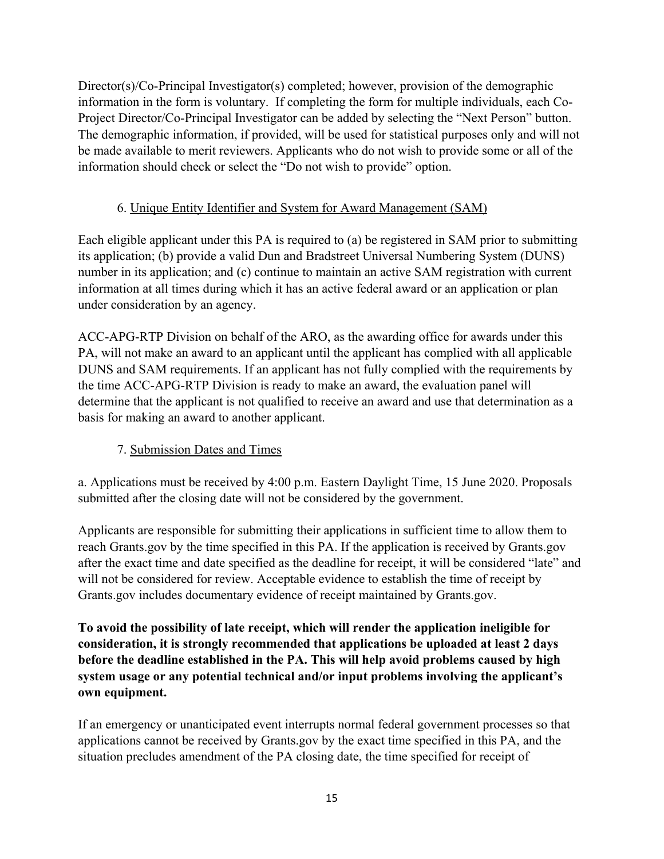Director(s)/Co-Principal Investigator(s) completed; however, provision of the demographic information in the form is voluntary. If completing the form for multiple individuals, each Co-Project Director/Co-Principal Investigator can be added by selecting the "Next Person" button. The demographic information, if provided, will be used for statistical purposes only and will not be made available to merit reviewers. Applicants who do not wish to provide some or all of the information should check or select the "Do not wish to provide" option.

# 6. Unique Entity Identifier and System for Award Management (SAM)

Each eligible applicant under this PA is required to (a) be registered in SAM prior to submitting its application; (b) provide a valid Dun and Bradstreet Universal Numbering System (DUNS) number in its application; and (c) continue to maintain an active SAM registration with current information at all times during which it has an active federal award or an application or plan under consideration by an agency.

ACC-APG-RTP Division on behalf of the ARO, as the awarding office for awards under this PA, will not make an award to an applicant until the applicant has complied with all applicable DUNS and SAM requirements. If an applicant has not fully complied with the requirements by the time ACC-APG-RTP Division is ready to make an award, the evaluation panel will determine that the applicant is not qualified to receive an award and use that determination as a basis for making an award to another applicant.

#### 7. Submission Dates and Times

a. Applications must be received by 4:00 p.m. Eastern Daylight Time, 15 June 2020. Proposals submitted after the closing date will not be considered by the government.

Applicants are responsible for submitting their applications in sufficient time to allow them to reach Grants.gov by the time specified in this PA. If the application is received by Grants.gov after the exact time and date specified as the deadline for receipt, it will be considered "late" and will not be considered for review. Acceptable evidence to establish the time of receipt by Grants.gov includes documentary evidence of receipt maintained by Grants.gov.

**To avoid the possibility of late receipt, which will render the application ineligible for consideration, it is strongly recommended that applications be uploaded at least 2 days before the deadline established in the PA. This will help avoid problems caused by high system usage or any potential technical and/or input problems involving the applicant's own equipment.** 

If an emergency or unanticipated event interrupts normal federal government processes so that applications cannot be received by Grants.gov by the exact time specified in this PA, and the situation precludes amendment of the PA closing date, the time specified for receipt of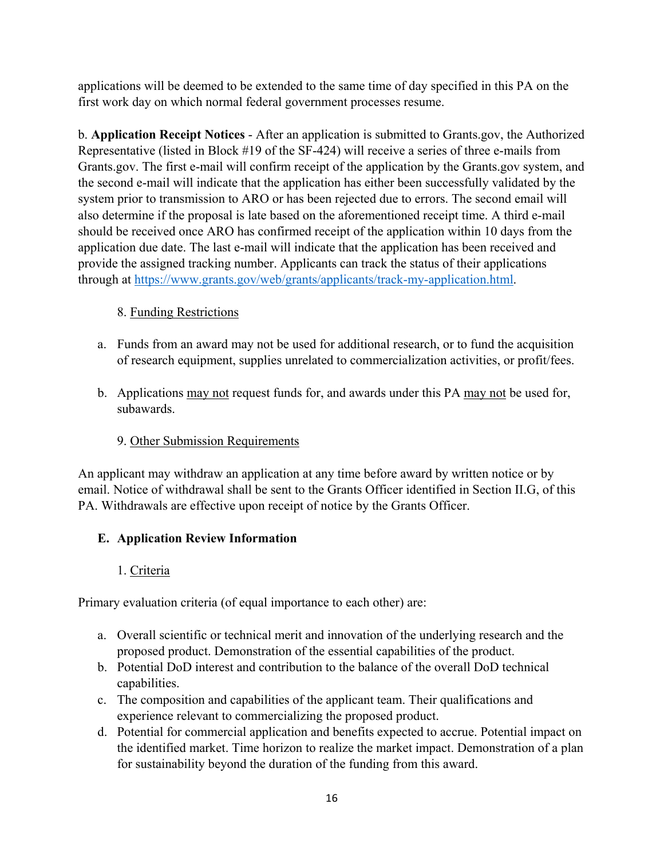applications will be deemed to be extended to the same time of day specified in this PA on the first work day on which normal federal government processes resume.

b. **Application Receipt Notices** - After an application is submitted to Grants.gov, the Authorized Representative (listed in Block #19 of the SF-424) will receive a series of three e-mails from Grants.gov. The first e-mail will confirm receipt of the application by the Grants.gov system, and the second e-mail will indicate that the application has either been successfully validated by the system prior to transmission to ARO or has been rejected due to errors. The second email will also determine if the proposal is late based on the aforementioned receipt time. A third e-mail should be received once ARO has confirmed receipt of the application within 10 days from the application due date. The last e-mail will indicate that the application has been received and provide the assigned tracking number. Applicants can track the status of their applications through at https://www.grants.gov/web/grants/applicants/track-my-application.html.

# 8. Funding Restrictions

- a. Funds from an award may not be used for additional research, or to fund the acquisition of research equipment, supplies unrelated to commercialization activities, or profit/fees.
- b. Applications may not request funds for, and awards under this PA may not be used for, subawards.

# 9. Other Submission Requirements

An applicant may withdraw an application at any time before award by written notice or by email. Notice of withdrawal shall be sent to the Grants Officer identified in Section II.G, of this PA. Withdrawals are effective upon receipt of notice by the Grants Officer.

# **E. Application Review Information**

# 1. Criteria

Primary evaluation criteria (of equal importance to each other) are:

- a. Overall scientific or technical merit and innovation of the underlying research and the proposed product. Demonstration of the essential capabilities of the product.
- b. Potential DoD interest and contribution to the balance of the overall DoD technical capabilities.
- c. The composition and capabilities of the applicant team. Their qualifications and experience relevant to commercializing the proposed product.
- d. Potential for commercial application and benefits expected to accrue. Potential impact on the identified market. Time horizon to realize the market impact. Demonstration of a plan for sustainability beyond the duration of the funding from this award.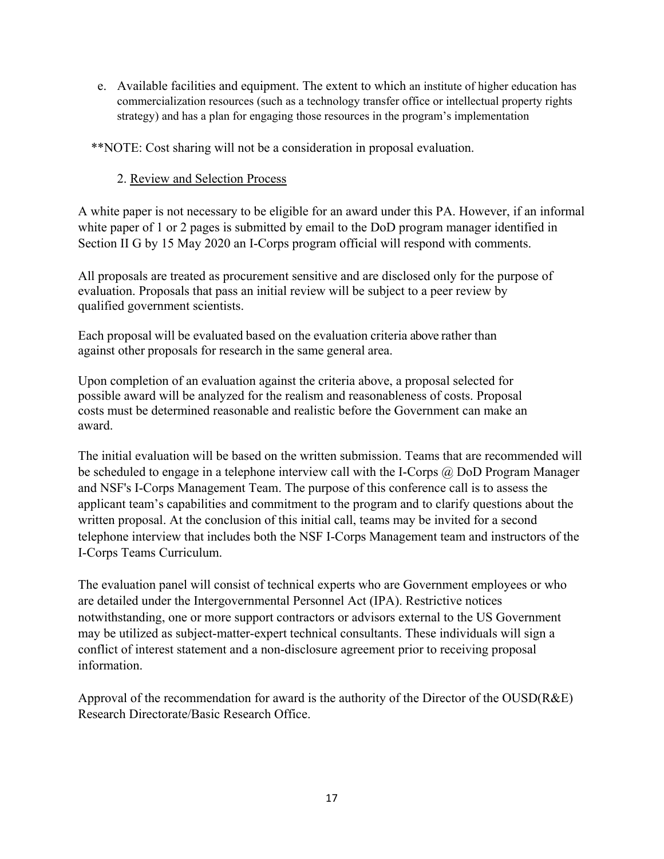e. Available facilities and equipment. The extent to which an institute of higher education has commercialization resources (such as a technology transfer office or intellectual property rights strategy) and has a plan for engaging those resources in the program's implementation

\*\*NOTE: Cost sharing will not be a consideration in proposal evaluation.

#### 2. Review and Selection Process

A white paper is not necessary to be eligible for an award under this PA. However, if an informal white paper of 1 or 2 pages is submitted by email to the DoD program manager identified in Section II G by 15 May 2020 an I-Corps program official will respond with comments.

All proposals are treated as procurement sensitive and are disclosed only for the purpose of evaluation. Proposals that pass an initial review will be subject to a peer review by qualified government scientists.

Each proposal will be evaluated based on the evaluation criteria above rather than against other proposals for research in the same general area.

Upon completion of an evaluation against the criteria above, a proposal selected for possible award will be analyzed for the realism and reasonableness of costs. Proposal costs must be determined reasonable and realistic before the Government can make an award.

The initial evaluation will be based on the written submission. Teams that are recommended will be scheduled to engage in a telephone interview call with the I-Corps  $\omega$  DoD Program Manager and NSF's I-Corps Management Team. The purpose of this conference call is to assess the applicant team's capabilities and commitment to the program and to clarify questions about the written proposal. At the conclusion of this initial call, teams may be invited for a second telephone interview that includes both the NSF I-Corps Management team and instructors of the I-Corps Teams Curriculum.

The evaluation panel will consist of technical experts who are Government employees or who are detailed under the Intergovernmental Personnel Act (IPA). Restrictive notices notwithstanding, one or more support contractors or advisors external to the US Government may be utilized as subject-matter-expert technical consultants. These individuals will sign a conflict of interest statement and a non-disclosure agreement prior to receiving proposal information.

Approval of the recommendation for award is the authority of the Director of the OUSD(R&E) Research Directorate/Basic Research Office.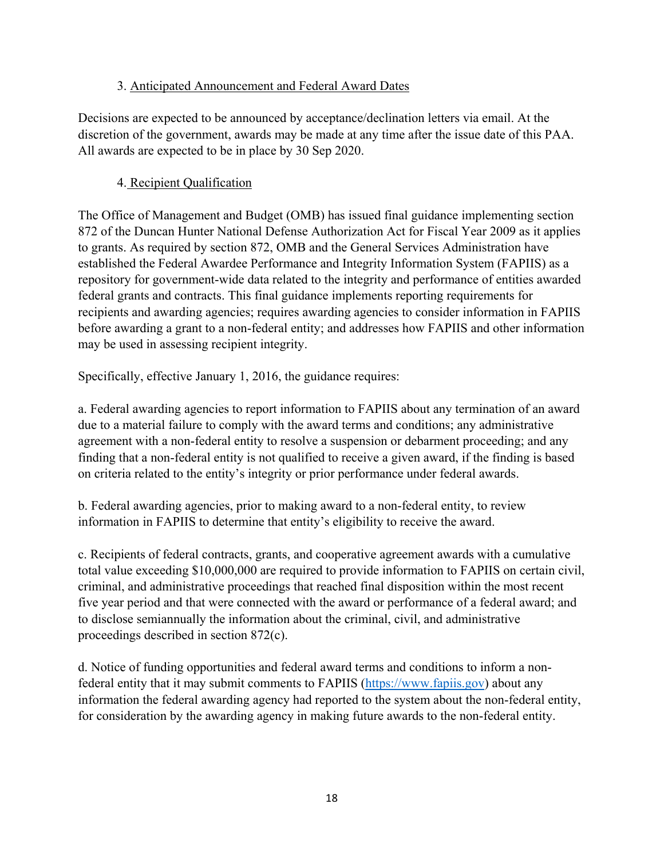#### 3. Anticipated Announcement and Federal Award Dates

Decisions are expected to be announced by acceptance/declination letters via email. At the discretion of the government, awards may be made at any time after the issue date of this PAA. All awards are expected to be in place by 30 Sep 2020.

# 4. Recipient Qualification

The Office of Management and Budget (OMB) has issued final guidance implementing section 872 of the Duncan Hunter National Defense Authorization Act for Fiscal Year 2009 as it applies to grants. As required by section 872, OMB and the General Services Administration have established the Federal Awardee Performance and Integrity Information System (FAPIIS) as a repository for government-wide data related to the integrity and performance of entities awarded federal grants and contracts. This final guidance implements reporting requirements for recipients and awarding agencies; requires awarding agencies to consider information in FAPIIS before awarding a grant to a non-federal entity; and addresses how FAPIIS and other information may be used in assessing recipient integrity.

Specifically, effective January 1, 2016, the guidance requires:

a. Federal awarding agencies to report information to FAPIIS about any termination of an award due to a material failure to comply with the award terms and conditions; any administrative agreement with a non-federal entity to resolve a suspension or debarment proceeding; and any finding that a non-federal entity is not qualified to receive a given award, if the finding is based on criteria related to the entity's integrity or prior performance under federal awards.

b. Federal awarding agencies, prior to making award to a non-federal entity, to review information in FAPIIS to determine that entity's eligibility to receive the award.

c. Recipients of federal contracts, grants, and cooperative agreement awards with a cumulative total value exceeding \$10,000,000 are required to provide information to FAPIIS on certain civil, criminal, and administrative proceedings that reached final disposition within the most recent five year period and that were connected with the award or performance of a federal award; and to disclose semiannually the information about the criminal, civil, and administrative proceedings described in section 872(c).

d. Notice of funding opportunities and federal award terms and conditions to inform a nonfederal entity that it may submit comments to FAPIIS (https://www.fapiis.gov) about any information the federal awarding agency had reported to the system about the non-federal entity, for consideration by the awarding agency in making future awards to the non-federal entity.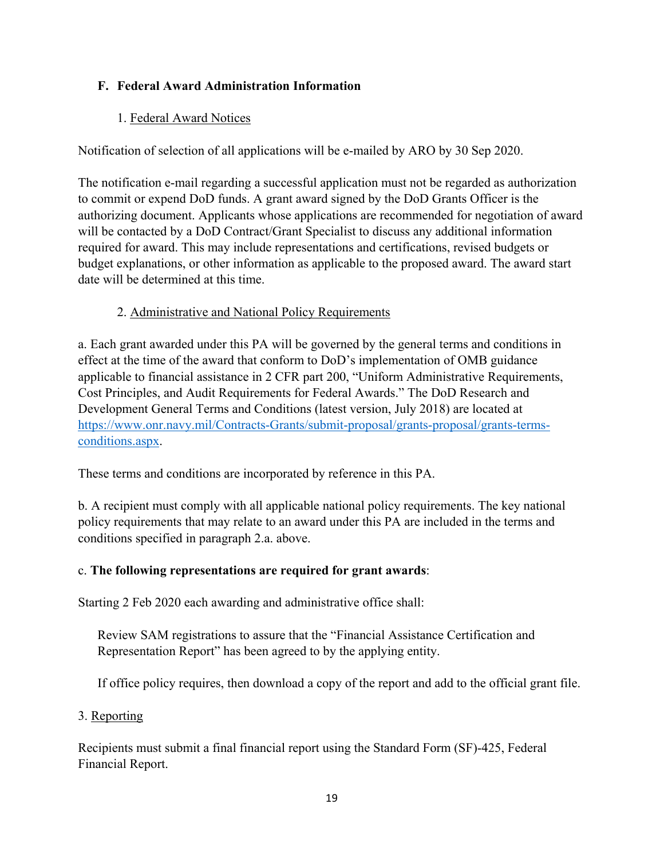# **F. Federal Award Administration Information**

#### 1. Federal Award Notices

Notification of selection of all applications will be e-mailed by ARO by 30 Sep 2020.

The notification e-mail regarding a successful application must not be regarded as authorization to commit or expend DoD funds. A grant award signed by the DoD Grants Officer is the authorizing document. Applicants whose applications are recommended for negotiation of award will be contacted by a DoD Contract/Grant Specialist to discuss any additional information required for award. This may include representations and certifications, revised budgets or budget explanations, or other information as applicable to the proposed award. The award start date will be determined at this time.

#### 2. Administrative and National Policy Requirements

a. Each grant awarded under this PA will be governed by the general terms and conditions in effect at the time of the award that conform to DoD's implementation of OMB guidance applicable to financial assistance in 2 CFR part 200, "Uniform Administrative Requirements, Cost Principles, and Audit Requirements for Federal Awards." The DoD Research and Development General Terms and Conditions (latest version, July 2018) are located at https://www.onr.navy.mil/Contracts-Grants/submit-proposal/grants-proposal/grants-termsconditions.aspx.

These terms and conditions are incorporated by reference in this PA.

b. A recipient must comply with all applicable national policy requirements. The key national policy requirements that may relate to an award under this PA are included in the terms and conditions specified in paragraph 2.a. above.

# c. **The following representations are required for grant awards**:

Starting 2 Feb 2020 each awarding and administrative office shall:

Review SAM registrations to assure that the "Financial Assistance Certification and Representation Report" has been agreed to by the applying entity.

If office policy requires, then download a copy of the report and add to the official grant file.

#### 3. Reporting

Recipients must submit a final financial report using the Standard Form (SF)-425, Federal Financial Report.